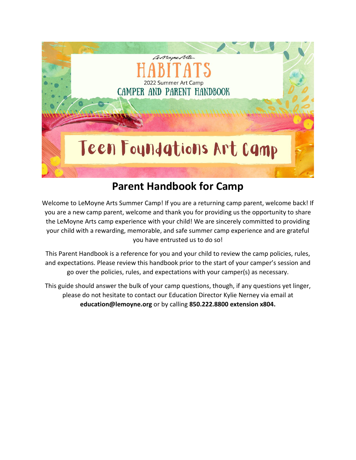

# **Parent Handbook for Camp**

Welcome to LeMoyne Arts Summer Camp! If you are a returning camp parent, welcome back! If you are a new camp parent, welcome and thank you for providing us the opportunity to share the LeMoyne Arts camp experience with your child! We are sincerely committed to providing your child with a rewarding, memorable, and safe summer camp experience and are grateful you have entrusted us to do so!

This Parent Handbook is a reference for you and your child to review the camp policies, rules, and expectations. Please review this handbook prior to the start of your camper's session and go over the policies, rules, and expectations with your camper(s) as necessary.

This guide should answer the bulk of your camp questions, though, if any questions yet linger, please do not hesitate to contact our Education Director Kylie Nerney via email at **education@lemoyne.org** or by calling **850.222.8800 extension x804.**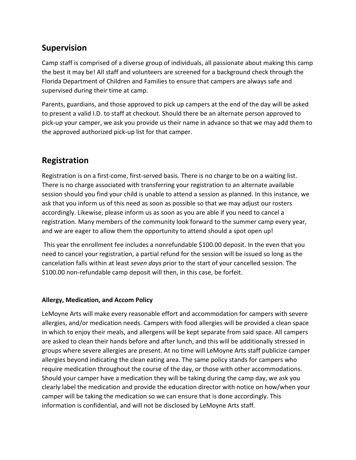# **Supervision**

Camp staff is comprised of a diverse group of individuals, all passionate about making this camp the best it may be! All staff and volunteers are screened for a background check through the Florida Department of Children and Families to ensure that campers are always safe and supervised during their time at camp.

Parents, guardians, and those approved to pick up campers at the end of the day will be asked to present a valid I.D. to staff at checkout. Should there be an alternate person approved to pick-up your camper, we ask you provide us their name in advance so that we may add them to the approved authorized pick-up list for that camper.

### **Registration**

Registration is on a first-come, first-served basis. There is no charge to be on a waiting list. There is no charge associated with transferring your registration to an alternate available session should you find your child is unable to attend a session as planned. In this instance, we ask that you inform us of this need as soon as possible so that we may adjust our rosters accordingly. Likewise, please inform us as soon as you are able if you need to cancel a registration. Many members of the community look forward to the summer camp every year, and we are eager to allow them the opportunity to attend should a spot open up!

This year the enrollment fee includes a nonrefundable \$100.00 deposit. In the even that you need to cancel your registration, a partial refund for the session will be issued so long as the cancelation falls within at least *seven days* prior to the start of your cancelled session. The \$100.00 non-refundable camp deposit will then, in this case, be forfeit.

#### **Allergy, Medication, and Accom Policy**

LeMoyne Arts will make every reasonable effort and accommodation for campers with severe allergies, and/or medication needs. Campers with food allergies will be provided a clean space in which to enjoy their meals, and allergens will be kept separate from said space. All campers are asked to clean their hands before and after lunch, and this will be additionally stressed in groups where severe allergies are present. At no time will LeMoyne Arts staff publicize camper allergies beyond indicating the clean eating area. The same policy stands for campers who require medication throughout the course of the day, or those with other accommodations. Should your camper have a medication they will be taking during the camp day, we ask you clearly label the medication and provide the education director with notice on how/when your camper will be taking the medication so we can ensure that is done accordingly. This information is confidential, and will not be disclosed by LeMoyne Arts staff.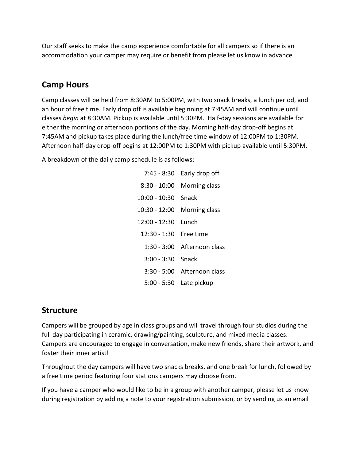Our staff seeks to make the camp experience comfortable for all campers so if there is an accommodation your camper may require or benefit from please let us know in advance.

#### **Camp Hours**

Camp classes will be held from 8:30AM to 5:00PM, with two snack breaks, a lunch period, and an hour of free time. Early drop off is available beginning at 7:45AM and will continue until classes *begin* at 8:30AM. Pickup is available until 5:30PM. Half-day sessions are available for either the morning or afternoon portions of the day. Morning half-day drop-off begins at 7:45AM and pickup takes place during the lunch/free time window of 12:00PM to 1:30PM. Afternoon half-day drop-off begins at 12:00PM to 1:30PM with pickup available until 5:30PM.

A breakdown of the daily camp schedule is as follows:

| $7:45 - 8:30$  | Early drop off                |
|----------------|-------------------------------|
| $8:30 - 10:00$ | Morning class                 |
| 10:00 - 10:30  | Snack                         |
| 10:30 - 12:00  | <b>Morning class</b>          |
| 12:00 - 12:30  | Tunch                         |
| 12:30 - 1:30   | Free time                     |
| 1:30 - 3:00    | Afternoon class               |
| $3:00 - 3:30$  | Snack                         |
|                | $3:30 - 5:00$ Afternoon class |
| 5:00 - 5:30    | Late pickup                   |

#### **Structure**

Campers will be grouped by age in class groups and will travel through four studios during the full day participating in ceramic, drawing/painting, sculpture, and mixed media classes. Campers are encouraged to engage in conversation, make new friends, share their artwork, and foster their inner artist!

Throughout the day campers will have two snacks breaks, and one break for lunch, followed by a free time period featuring four stations campers may choose from.

If you have a camper who would like to be in a group with another camper, please let us know during registration by adding a note to your registration submission, or by sending us an email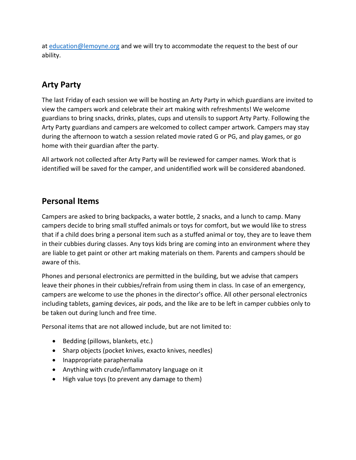at [education@lemoyne.org](mailto:education@lemoyne.org) and we will try to accommodate the request to the best of our ability.

# **Arty Party**

The last Friday of each session we will be hosting an Arty Party in which guardians are invited to view the campers work and celebrate their art making with refreshments! We welcome guardians to bring snacks, drinks, plates, cups and utensils to support Arty Party. Following the Arty Party guardians and campers are welcomed to collect camper artwork. Campers may stay during the afternoon to watch a session related movie rated G or PG, and play games, or go home with their guardian after the party.

All artwork not collected after Arty Party will be reviewed for camper names. Work that is identified will be saved for the camper, and unidentified work will be considered abandoned.

### **Personal Items**

Campers are asked to bring backpacks, a water bottle, 2 snacks, and a lunch to camp. Many campers decide to bring small stuffed animals or toys for comfort, but we would like to stress that if a child does bring a personal item such as a stuffed animal or toy, they are to leave them in their cubbies during classes. Any toys kids bring are coming into an environment where they are liable to get paint or other art making materials on them. Parents and campers should be aware of this.

Phones and personal electronics are permitted in the building, but we advise that campers leave their phones in their cubbies/refrain from using them in class. In case of an emergency, campers are welcome to use the phones in the director's office. All other personal electronics including tablets, gaming devices, air pods, and the like are to be left in camper cubbies only to be taken out during lunch and free time.

Personal items that are not allowed include, but are not limited to:

- Bedding (pillows, blankets, etc.)
- Sharp objects (pocket knives, exacto knives, needles)
- Inappropriate paraphernalia
- Anything with crude/inflammatory language on it
- High value toys (to prevent any damage to them)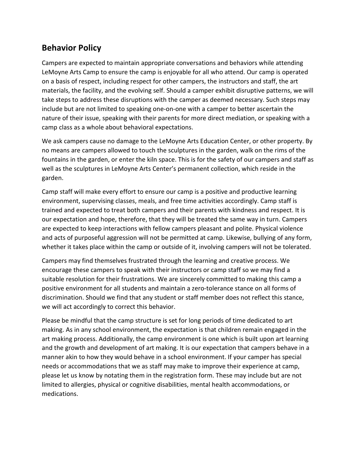### **Behavior Policy**

Campers are expected to maintain appropriate conversations and behaviors while attending LeMoyne Arts Camp to ensure the camp is enjoyable for all who attend. Our camp is operated on a basis of respect, including respect for other campers, the instructors and staff, the art materials, the facility, and the evolving self. Should a camper exhibit disruptive patterns, we will take steps to address these disruptions with the camper as deemed necessary. Such steps may include but are not limited to speaking one-on-one with a camper to better ascertain the nature of their issue, speaking with their parents for more direct mediation, or speaking with a camp class as a whole about behavioral expectations.

We ask campers cause no damage to the LeMoyne Arts Education Center, or other property. By no means are campers allowed to touch the sculptures in the garden, walk on the rims of the fountains in the garden, or enter the kiln space. This is for the safety of our campers and staff as well as the sculptures in LeMoyne Arts Center's permanent collection, which reside in the garden.

Camp staff will make every effort to ensure our camp is a positive and productive learning environment, supervising classes, meals, and free time activities accordingly. Camp staff is trained and expected to treat both campers and their parents with kindness and respect. It is our expectation and hope, therefore, that they will be treated the same way in turn. Campers are expected to keep interactions with fellow campers pleasant and polite. Physical violence and acts of purposeful aggression will not be permitted at camp. Likewise, bullying of any form, whether it takes place within the camp or outside of it, involving campers will not be tolerated.

Campers may find themselves frustrated through the learning and creative process. We encourage these campers to speak with their instructors or camp staff so we may find a suitable resolution for their frustrations. We are sincerely committed to making this camp a positive environment for all students and maintain a zero-tolerance stance on all forms of discrimination. Should we find that any student or staff member does not reflect this stance, we will act accordingly to correct this behavior.

Please be mindful that the camp structure is set for long periods of time dedicated to art making. As in any school environment, the expectation is that children remain engaged in the art making process. Additionally, the camp environment is one which is built upon art learning and the growth and development of art making. It is our expectation that campers behave in a manner akin to how they would behave in a school environment. If your camper has special needs or accommodations that we as staff may make to improve their experience at camp, please let us know by notating them in the registration form. These may include but are not limited to allergies, physical or cognitive disabilities, mental health accommodations, or medications.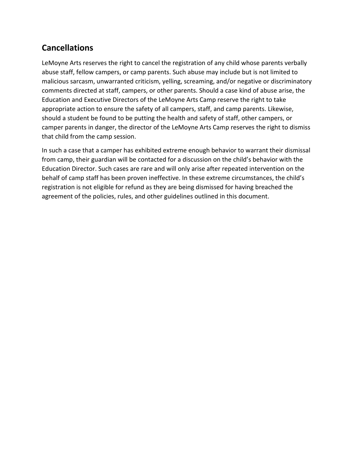# **Cancellations**

LeMoyne Arts reserves the right to cancel the registration of any child whose parents verbally abuse staff, fellow campers, or camp parents. Such abuse may include but is not limited to malicious sarcasm, unwarranted criticism, yelling, screaming, and/or negative or discriminatory comments directed at staff, campers, or other parents. Should a case kind of abuse arise, the Education and Executive Directors of the LeMoyne Arts Camp reserve the right to take appropriate action to ensure the safety of all campers, staff, and camp parents. Likewise, should a student be found to be putting the health and safety of staff, other campers, or camper parents in danger, the director of the LeMoyne Arts Camp reserves the right to dismiss that child from the camp session.

In such a case that a camper has exhibited extreme enough behavior to warrant their dismissal from camp, their guardian will be contacted for a discussion on the child's behavior with the Education Director. Such cases are rare and will only arise after repeated intervention on the behalf of camp staff has been proven ineffective. In these extreme circumstances, the child's registration is not eligible for refund as they are being dismissed for having breached the agreement of the policies, rules, and other guidelines outlined in this document.